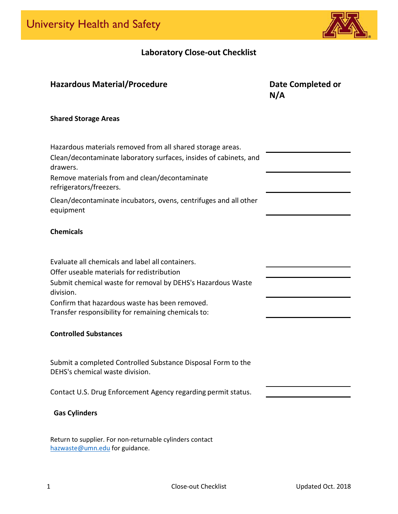

# **Laboratory Close-out Checklist**

| <b>Hazardous Material/Procedure</b>                                                                                                         | Date Completed or<br>N/A |
|---------------------------------------------------------------------------------------------------------------------------------------------|--------------------------|
| <b>Shared Storage Areas</b>                                                                                                                 |                          |
| Hazardous materials removed from all shared storage areas.<br>Clean/decontaminate laboratory surfaces, insides of cabinets, and<br>drawers. |                          |
| Remove materials from and clean/decontaminate<br>refrigerators/freezers.                                                                    |                          |
| Clean/decontaminate incubators, ovens, centrifuges and all other<br>equipment                                                               |                          |
| <b>Chemicals</b>                                                                                                                            |                          |
| Evaluate all chemicals and label all containers.                                                                                            |                          |
| Offer useable materials for redistribution<br>Submit chemical waste for removal by DEHS's Hazardous Waste<br>division.                      |                          |
| Confirm that hazardous waste has been removed.<br>Transfer responsibility for remaining chemicals to:                                       |                          |
| <b>Controlled Substances</b>                                                                                                                |                          |
| Submit a completed Controlled Substance Disposal Form to the<br>DEHS's chemical waste division.                                             |                          |
| Contact U.S. Drug Enforcement Agency regarding permit status.                                                                               |                          |
| <b>Gas Cylinders</b>                                                                                                                        |                          |

Return to supplier. For non‐returnable cylinders contact [hazwaste@umn.edu](mailto:hazwaste@umn.edu) for guidance.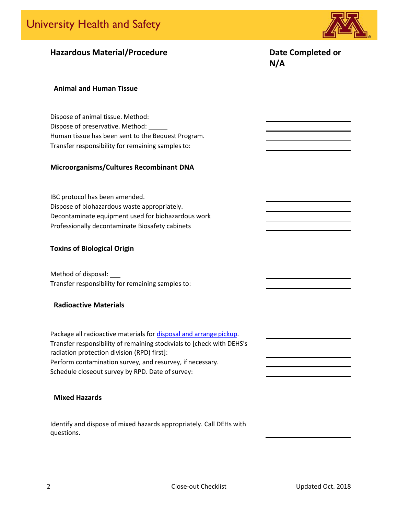

### **Hazardous Material/Procedure Date Completed or**

**N/A**

#### **Animal and Human Tissue**

Dispose of animal tissue. Method: Dispose of preservative. Method: Human tissue has been sent to the Bequest Program. Transfer responsibility for remaining samplesto:

#### **Microorganisms/Cultures Recombinant DNA**

IBC protocol has been amended. Dispose of biohazardous waste appropriately. Decontaminate equipment used for biohazardous work Professionally decontaminate Biosafety cabinets

#### **Toxins of Biological Origin**

Method of disposal: Transfer responsibility for remaining samples to:

#### **Radioactive Materials**

Package all radioactive materials for disposal and arrange pickup. Transfer responsibility of remaining stockvials to [check with DEHS's radiation protection division (RPD) first]: Perform contamination survey, and resurvey, if necessary. Schedule closeout survey by RPD. Date of survey:

#### **Mixed Hazards**

Identify and dispose of mixed hazards appropriately. Call DEHs with questions.